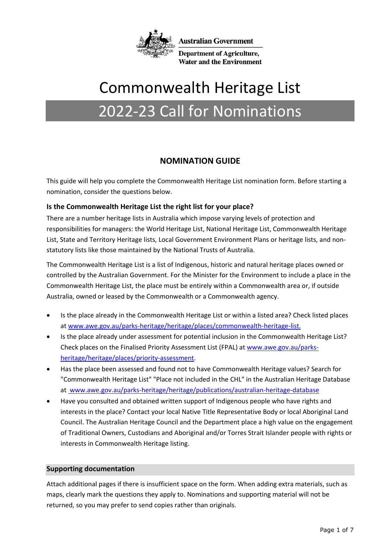

**Australian Government** 

**Department of Agriculture, Water and the Environment** 

# Commonwealth Heritage List

## 2022-23 Call for Nominations

## **NOMINATION GUIDE**

This guide will help you complete the Commonwealth Heritage List nomination form. Before starting a nomination, consider the questions below.

## **Is the Commonwealth Heritage List the right list for your place?**

There are a number heritage lists in Australia which impose varying levels of protection and responsibilities for managers: the World Heritage List, National Heritage List, Commonwealth Heritage List, State and Territory Heritage lists, Local Government Environment Plans or heritage lists, and nonstatutory lists like those maintained by the National Trusts of Australia.

The Commonwealth Heritage List is a list of Indigenous, historic and natural heritage places owned or controlled by the Australian Government. For the Minister for the Environment to include a place in the Commonwealth Heritage List, the place must be entirely within a Commonwealth area or, if outside Australia, owned or leased by the Commonwealth or a Commonwealth agency.

- Is the place already in the Commonwealth Heritage List or within a listed area? Check listed places at www.awe.gov.au/parks-heritage/heritage/places/commonwealth-heritage-list.
- Is the place already under assessment for potential inclusion in the Commonwealth Heritage List? Check places on the Finalised Priority Assessment List (FPAL) at www[.awe.gov.au/parks](http://www.awe.gov.au/parks-heritage/heritage/places/priority-assessment)[heritage/heritage/places/priority-assessment.](http://www.awe.gov.au/parks-heritage/heritage/places/priority-assessment)
- Has the place been assessed and found not to have Commonwealth Heritage values? Search for "Commonwealth Heritage List" "Place not included in the CHL" in the Australian Heritage Database at www.awe.gov.au/parks-heritage/heritage/publications/australian-heritage-database
- Have you consulted and obtained written support of Indigenous people who have rights and interests in the place? Contact your local Native Title Representative Body or local Aboriginal Land Council. The Australian Heritage Council and the Department place a high value on the engagement of Traditional Owners, Custodians and Aboriginal and/or Torres Strait Islander people with rights or interests in Commonwealth Heritage listing.

## **Supporting documentation**

Attach additional pages if there is insufficient space on the form. When adding extra materials, such as maps, clearly mark the questions they apply to. Nominations and supporting material will not be returned, so you may prefer to send copies rather than originals.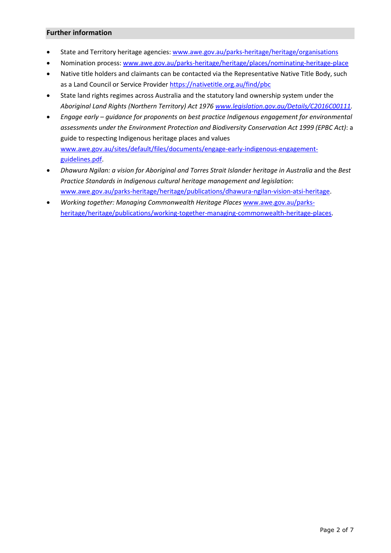### **Further information**

- State and Territory heritage agencies: www.awe.gov.au/parks-heritage/heritage/organisations
- Nomination process[: www.awe.gov.au/parks-heritage/heritage/places/nominating-heritage-place](http://www.awe.gov.au/parks-heritage/heritage/places/nominating-heritage-place)
- Native title holders and claimants can be contacted via the Representative Native Title Body, such as a Land Council or Service Provider <https://nativetitle.org.au/find/pbc>
- State land rights regimes across Australia and the statutory land ownership system under the *Aboriginal Land Rights (Northern Territory) Act 1976 [www.legislation.gov.au/Details/C2016C00111.](http://www.legislation.gov.au/Details/C2016C00111)*
- *Engage early – guidance for proponents on best practice Indigenous engagement for environmental assessments under the Environment Protection and Biodiversity Conservation Act 1999 (EPBC Act)*: a guide to respecting Indigenous heritage places and values [www.awe.gov.au/sites/default/files/documents/engage-early-indigenous-engagement](http://www.awe.gov.au/sites/default/files/documents/engage-early-indigenous-engagement-guidelines.pdf)[guidelines.pdf.](http://www.awe.gov.au/sites/default/files/documents/engage-early-indigenous-engagement-guidelines.pdf)
- *Dhawura Ngilan: a vision for Aboriginal and Torres Strait Islander heritage in Australia* and the *Best Practice Standards in Indigenous cultural heritage management and legislation*: [www.awe.gov.au/parks-heritage/heritage/publications/dhawura-ngilan-vision-atsi-heritage.](http://www.awe.gov.au/parks-heritage/heritage/publications/dhawura-ngilan-vision-atsi-heritage)
- *Working together: Managing Commonwealth Heritage Places* [www.awe.gov.au/parks](http://www.awe.gov.au/parks-heritage/heritage/publications/working-together-managing-commonwealth-heritage-places)[heritage/heritage/publications/working-together-managing-commonwealth-heritage-places.](http://www.awe.gov.au/parks-heritage/heritage/publications/working-together-managing-commonwealth-heritage-places)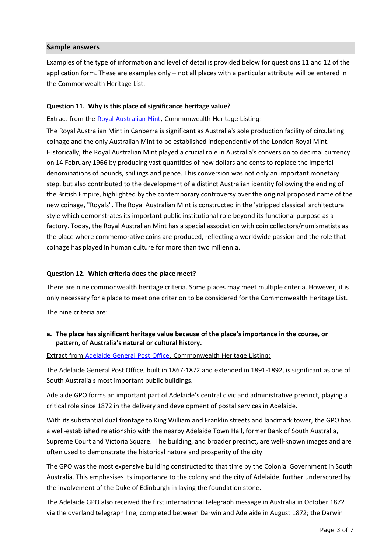#### **Sample answers**

Examples of the type of information and level of detail is provided below for questions 11 and 12 of the application form. These are examples only – not all places with a particular attribute will be entered in the Commonwealth Heritage List.

#### **Question 11. Why is this place of significance heritage value?**

#### Extract from the [Royal Australian Mint,](http://www.environment.gov.au/cgi-bin/ahdb/search.pl?mode=place_detail;search=place_name%3Droyal%2520australian%2520mint%3Blist_code%3DCHL%3Bkeyword_PD%3Don%3Bkeyword_SS%3Don%3Bkeyword_PH%3Don%3Blatitude_1dir%3DS%3Blongitude_1dir%3DE%3Blongitude_2dir%3DE%3Blatitude_2dir%3DS%3Bin_region%3Dpart;place_id=106191) Commonwealth Heritage Listing:

The Royal Australian Mint in Canberra is significant as Australia's sole production facility of circulating coinage and the only Australian Mint to be established independently of the London Royal Mint. Historically, the Royal Australian Mint played a crucial role in Australia's conversion to decimal currency on 14 February 1966 by producing vast quantities of new dollars and cents to replace the imperial denominations of pounds, shillings and pence. This conversion was not only an important monetary step, but also contributed to the development of a distinct Australian identity following the ending of the British Empire, highlighted by the contemporary controversy over the original proposed name of the new coinage, "Royals". The Royal Australian Mint is constructed in the 'stripped classical' architectural style which demonstrates its important public institutional role beyond its functional purpose as a factory. Today, the Royal Australian Mint has a special association with coin collectors/numismatists as the place where commemorative coins are produced, reflecting a worldwide passion and the role that coinage has played in human culture for more than two millennia.

#### **Question 12. Which criteria does the place meet?**

There are nine commonwealth heritage criteria. Some places may meet multiple criteria. However, it is only necessary for a place to meet one criterion to be considered for the Commonwealth Heritage List.

The nine criteria are:

### **a. The place has significant heritage value because of the place's importance in the course, or pattern, of Australia's natural or cultural history.**

Extract from [Adelaide General Post Office,](http://www.environment.gov.au/cgi-bin/ahdb/search.pl?mode=place_detail;search=state%3DSA%3Blist_code%3DCHL%3Blegal_status%3D35%3Bkeyword_PD%3D0%3Bkeyword_SS%3D0%3Bkeyword_PH%3D0;place_id=105518) Commonwealth Heritage Listing:

The Adelaide General Post Office, built in 1867-1872 and extended in 1891-1892, is significant as one of South Australia's most important public buildings.

Adelaide GPO forms an important part of Adelaide's central civic and administrative precinct, playing a critical role since 1872 in the delivery and development of postal services in Adelaide.

With its substantial dual frontage to King William and Franklin streets and landmark tower, the GPO has a well-established relationship with the nearby Adelaide Town Hall, former Bank of South Australia, Supreme Court and Victoria Square. The building, and broader precinct, are well-known images and are often used to demonstrate the historical nature and prosperity of the city.

The GPO was the most expensive building constructed to that time by the Colonial Government in South Australia. This emphasises its importance to the colony and the city of Adelaide, further underscored by the involvement of the Duke of Edinburgh in laying the foundation stone.

The Adelaide GPO also received the first international telegraph message in Australia in October 1872 via the overland telegraph line, completed between Darwin and Adelaide in August 1872; the Darwin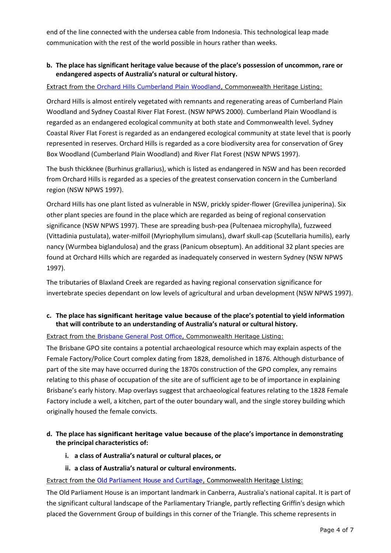end of the line connected with the undersea cable from Indonesia. This technological leap made communication with the rest of the world possible in hours rather than weeks.

### **b. The place has significant heritage value because of the place's possession of uncommon, rare or endangered aspects of Australia's natural or cultural history.**

#### Extract from the Orchard Hills [Cumberland Plain Woodland,](http://www.environment.gov.au/cgi-bin/ahdb/search.pl?mode=place_detail;search=state%3DNSW%3Blist_code%3DCHL%3Blegal_status%3D35%3Bkeyword_PD%3D0%3Bkeyword_SS%3D0%3Bkeyword_PH%3D0;place_id=105317) Commonwealth Heritage Listing:

Orchard Hills is almost entirely vegetated with remnants and regenerating areas of Cumberland Plain Woodland and Sydney Coastal River Flat Forest. (NSW NPWS 2000). Cumberland Plain Woodland is regarded as an endangered ecological community at both state and Commonwealth level. Sydney Coastal River Flat Forest is regarded as an endangered ecological community at state level that is poorly represented in reserves. Orchard Hills is regarded as a core biodiversity area for conservation of Grey Box Woodland (Cumberland Plain Woodland) and River Flat Forest (NSW NPWS 1997).

The bush thickknee (Burhinus grallarius), which is listed as endangered in NSW and has been recorded from Orchard Hills is regarded as a species of the greatest conservation concern in the Cumberland region (NSW NPWS 1997).

Orchard Hills has one plant listed as vulnerable in NSW, prickly spider-flower (Grevillea juniperina). Six other plant species are found in the place which are regarded as being of regional conservation significance (NSW NPWS 1997). These are spreading bush-pea (Pultenaea microphylla), fuzzweed (Vittadinia pustulata), water-milfoil (Myriophyllum simulans), dwarf skull-cap (Scutellaria humilis), early nancy (Wurmbea biglandulosa) and the grass (Panicum obseptum). An additional 32 plant species are found at Orchard Hills which are regarded as inadequately conserved in western Sydney (NSW NPWS 1997).

The tributaries of Blaxland Creek are regarded as having regional conservation significance for invertebrate species dependant on low levels of agricultural and urban development (NSW NPWS 1997).

## **c. The place has significant heritage value because of the place's potential to yield information that will contribute to an understanding of Australia's natural or cultural history.**

### Extract from the [Brisbane General Post Office,](http://www.environment.gov.au/cgi-bin/ahdb/search.pl?mode=place_detail;search=state%3DQLD%3Blist_code%3DCHL%3Blegal_status%3D35%3Bkeyword_PD%3D0%3Bkeyword_SS%3D0%3Bkeyword_PH%3D0;place_id=105521) Commonwealth Heritage Listing:

The Brisbane GPO site contains a potential archaeological resource which may explain aspects of the Female Factory/Police Court complex dating from 1828, demolished in 1876. Although disturbance of part of the site may have occurred during the 1870s construction of the GPO complex, any remains relating to this phase of occupation of the site are of sufficient age to be of importance in explaining Brisbane's early history. Map overlays suggest that archaeological features relating to the 1828 Female Factory include a well, a kitchen, part of the outer boundary wall, and the single storey building which originally housed the female convicts.

## **d. The place has significant heritage value because of the place's importance in demonstrating the principal characteristics of:**

#### **i. a class of Australia's natural or cultural places, or**

#### **ii. a class of Australia's natural or cultural environments.**

Extract from the [Old Parliament House](http://www.environment.gov.au/cgi-bin/ahdb/search.pl?mode=place_detail;search=state%3DACT%3Blist_code%3DCHL%3Blegal_status%3D35%3Bkeyword_PD%3D0%3Bkeyword_SS%3D0%3Bkeyword_PH%3D0;place_id=105318) and Curtilage, Commonwealth Heritage Listing:

The Old Parliament House is an important landmark in Canberra, Australia's national capital. It is part of the significant cultural landscape of the Parliamentary Triangle, partly reflecting Griffin's design which placed the Government Group of buildings in this corner of the Triangle. This scheme represents in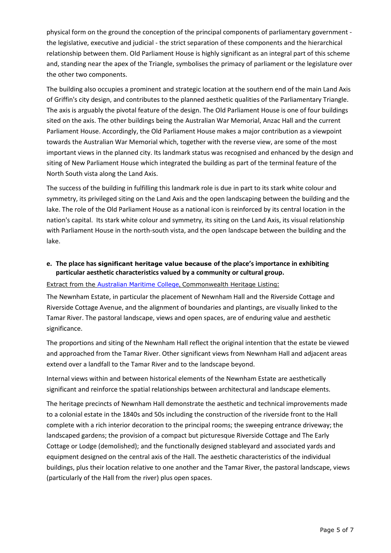physical form on the ground the conception of the principal components of parliamentary government the legislative, executive and judicial - the strict separation of these components and the hierarchical relationship between them. Old Parliament House is highly significant as an integral part of this scheme and, standing near the apex of the Triangle, symbolises the primacy of parliament or the legislature over the other two components.

The building also occupies a prominent and strategic location at the southern end of the main Land Axis of Griffin's city design, and contributes to the planned aesthetic qualities of the Parliamentary Triangle. The axis is arguably the pivotal feature of the design. The Old Parliament House is one of four buildings sited on the axis. The other buildings being the Australian War Memorial, Anzac Hall and the current Parliament House. Accordingly, the Old Parliament House makes a major contribution as a viewpoint towards the Australian War Memorial which, together with the reverse view, are some of the most important views in the planned city. Its landmark status was recognised and enhanced by the design and siting of New Parliament House which integrated the building as part of the terminal feature of the North South vista along the Land Axis.

The success of the building in fulfilling this landmark role is due in part to its stark white colour and symmetry, its privileged siting on the Land Axis and the open landscaping between the building and the lake. The role of the Old Parliament House as a national icon is reinforced by its central location in the nation's capital. Its stark white colour and symmetry, its siting on the Land Axis, its visual relationship with Parliament House in the north-south vista, and the open landscape between the building and the lake.

## **e. The place has significant heritage value because of the place's importance in exhibiting particular aesthetic characteristics valued by a community or cultural group.**

Extract from the [Australian Maritime College](http://www.environment.gov.au/cgi-bin/ahdb/search.pl?mode=place_detail;search=state%3DTAS%3Blist_code%3DCHL%3Blegal_status%3D35%3Bkeyword_PD%3D0%3Bkeyword_SS%3D0%3Bkeyword_PH%3D0;place_id=105663), Commonwealth Heritage Listing:

The Newnham Estate, in particular the placement of Newnham Hall and the Riverside Cottage and Riverside Cottage Avenue, and the alignment of boundaries and plantings, are visually linked to the Tamar River. The pastoral landscape, views and open spaces, are of enduring value and aesthetic significance.

The proportions and siting of the Newnham Hall reflect the original intention that the estate be viewed and approached from the Tamar River. Other significant views from Newnham Hall and adjacent areas extend over a landfall to the Tamar River and to the landscape beyond.

Internal views within and between historical elements of the Newnham Estate are aesthetically significant and reinforce the spatial relationships between architectural and landscape elements.

The heritage precincts of Newnham Hall demonstrate the aesthetic and technical improvements made to a colonial estate in the 1840s and 50s including the construction of the riverside front to the Hall complete with a rich interior decoration to the principal rooms; the sweeping entrance driveway; the landscaped gardens; the provision of a compact but picturesque Riverside Cottage and The Early Cottage or Lodge (demolished); and the functionally designed stableyard and associated yards and equipment designed on the central axis of the Hall. The aesthetic characteristics of the individual buildings, plus their location relative to one another and the Tamar River, the pastoral landscape, views (particularly of the Hall from the river) plus open spaces.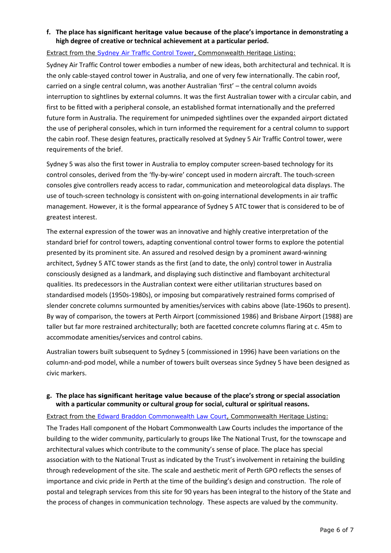### **f. The place has significant heritage value because of the place's importance in demonstrating a high degree of creative or technical achievement at a particular period.**

#### Extract from the [Sydney Air Traffic Control Tower,](http://www.environment.gov.au/cgi-bin/ahdb/search.pl?mode=place_detail;search=state%3DNSW%3Blist_code%3DCHL%3Blegal_status%3D35%3Bkeyword_PD%3D0%3Bkeyword_SS%3D0%3Bkeyword_PH%3D0;place_id=106116) Commonwealth Heritage Listing:

Sydney Air Traffic Control tower embodies a number of new ideas, both architectural and technical. It is the only cable-stayed control tower in Australia, and one of very few internationally. The cabin roof, carried on a single central column, was another Australian 'first' – the central column avoids interruption to sightlines by external columns. It was the first Australian tower with a circular cabin, and first to be fitted with a peripheral console, an established format internationally and the preferred future form in Australia. The requirement for unimpeded sightlines over the expanded airport dictated the use of peripheral consoles, which in turn informed the requirement for a central column to support the cabin roof. These design features, practically resolved at Sydney 5 Air Traffic Control tower, were requirements of the brief.

Sydney 5 was also the first tower in Australia to employ computer screen-based technology for its control consoles, derived from the 'fly-by-wire' concept used in modern aircraft. The touch-screen consoles give controllers ready access to radar, communication and meteorological data displays. The use of touch-screen technology is consistent with on-going international developments in air traffic management. However, it is the formal appearance of Sydney 5 ATC tower that is considered to be of greatest interest.

The external expression of the tower was an innovative and highly creative interpretation of the standard brief for control towers, adapting conventional control tower forms to explore the potential presented by its prominent site. An assured and resolved design by a prominent award-winning architect, Sydney 5 ATC tower stands as the first (and to date, the only) control tower in Australia consciously designed as a landmark, and displaying such distinctive and flamboyant architectural qualities. Its predecessors in the Australian context were either utilitarian structures based on standardised models (1950s-1980s), or imposing but comparatively restrained forms comprised of slender concrete columns surmounted by amenities/services with cabins above (late-1960s to present). By way of comparison, the towers at Perth Airport (commissioned 1986) and Brisbane Airport (1988) are taller but far more restrained architecturally; both are facetted concrete columns flaring at c. 45m to accommodate amenities/services and control cabins.

Australian towers built subsequent to Sydney 5 (commissioned in 1996) have been variations on the column-and-pod model, while a number of towers built overseas since Sydney 5 have been designed as civic markers.

### **g. The place has significant heritage value because of the place's strong or special association with a particular community or cultural group for social, cultural or spiritual reasons.**

Extract from the [Edward Braddon Commonwealth Law Court,](http://www.environment.gov.au/cgi-bin/ahdb/search.pl?mode=place_detail;search=state%3DTAS%3Blist_code%3DCHL%3Blegal_status%3D35%3Bkeyword_PD%3D0%3Bkeyword_SS%3D0%3Bkeyword_PH%3D0;place_id=106152) Commonwealth Heritage Listing: The Trades Hall component of the Hobart Commonwealth Law Courts includes the importance of the building to the wider community, particularly to groups like The National Trust, for the townscape and architectural values which contribute to the community's sense of place. The place has special association with to the National Trust as indicated by the Trust's involvement in retaining the building through redevelopment of the site. The scale and aesthetic merit of Perth GPO reflects the senses of importance and civic pride in Perth at the time of the building's design and construction. The role of postal and telegraph services from this site for 90 years has been integral to the history of the State and the process of changes in communication technology. These aspects are valued by the community.